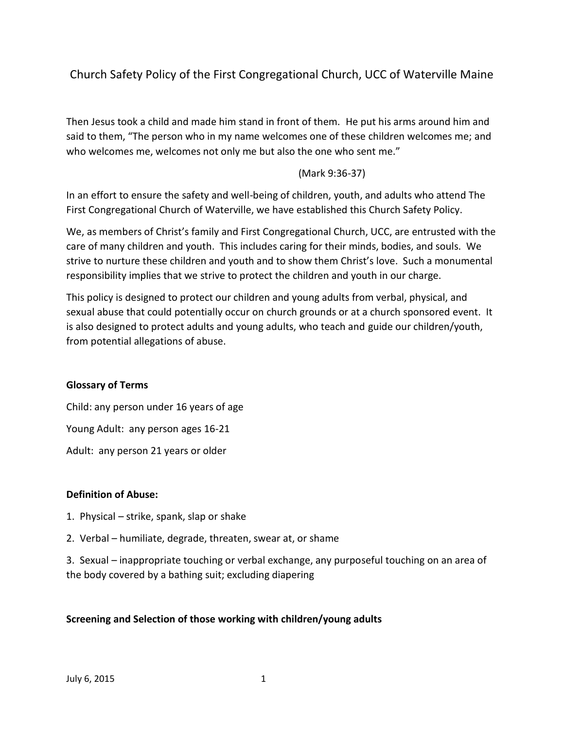Church Safety Policy of the First Congregational Church, UCC of Waterville Maine

Then Jesus took a child and made him stand in front of them. He put his arms around him and said to them, "The person who in my name welcomes one of these children welcomes me; and who welcomes me, welcomes not only me but also the one who sent me."

# (Mark 9:36-37)

In an effort to ensure the safety and well-being of children, youth, and adults who attend The First Congregational Church of Waterville, we have established this Church Safety Policy.

We, as members of Christ's family and First Congregational Church, UCC, are entrusted with the care of many children and youth. This includes caring for their minds, bodies, and souls. We strive to nurture these children and youth and to show them Christ's love. Such a monumental responsibility implies that we strive to protect the children and youth in our charge.

This policy is designed to protect our children and young adults from verbal, physical, and sexual abuse that could potentially occur on church grounds or at a church sponsored event. It is also designed to protect adults and young adults, who teach and guide our children/youth, from potential allegations of abuse.

## **Glossary of Terms**

Child: any person under 16 years of age Young Adult: any person ages 16-21 Adult: any person 21 years or older

## **Definition of Abuse:**

- 1. Physical strike, spank, slap or shake
- 2. Verbal humiliate, degrade, threaten, swear at, or shame

3. Sexual – inappropriate touching or verbal exchange, any purposeful touching on an area of the body covered by a bathing suit; excluding diapering

## **Screening and Selection of those working with children/young adults**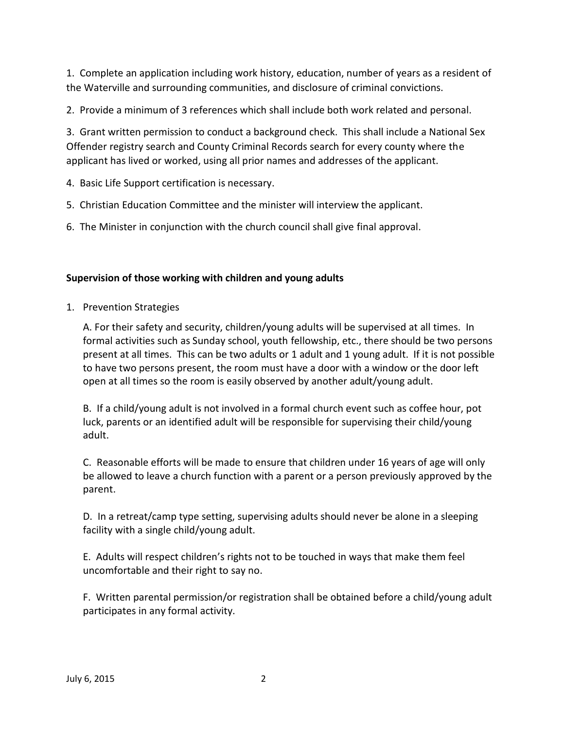1. Complete an application including work history, education, number of years as a resident of the Waterville and surrounding communities, and disclosure of criminal convictions.

2. Provide a minimum of 3 references which shall include both work related and personal.

3. Grant written permission to conduct a background check. This shall include a National Sex Offender registry search and County Criminal Records search for every county where the applicant has lived or worked, using all prior names and addresses of the applicant.

4. Basic Life Support certification is necessary.

- 5. Christian Education Committee and the minister will interview the applicant.
- 6. The Minister in conjunction with the church council shall give final approval.

### **Supervision of those working with children and young adults**

1. Prevention Strategies

A. For their safety and security, children/young adults will be supervised at all times. In formal activities such as Sunday school, youth fellowship, etc., there should be two persons present at all times. This can be two adults or 1 adult and 1 young adult. If it is not possible to have two persons present, the room must have a door with a window or the door left open at all times so the room is easily observed by another adult/young adult.

B. If a child/young adult is not involved in a formal church event such as coffee hour, pot luck, parents or an identified adult will be responsible for supervising their child/young adult.

C. Reasonable efforts will be made to ensure that children under 16 years of age will only be allowed to leave a church function with a parent or a person previously approved by the parent.

D. In a retreat/camp type setting, supervising adults should never be alone in a sleeping facility with a single child/young adult.

E. Adults will respect children's rights not to be touched in ways that make them feel uncomfortable and their right to say no.

F. Written parental permission/or registration shall be obtained before a child/young adult participates in any formal activity.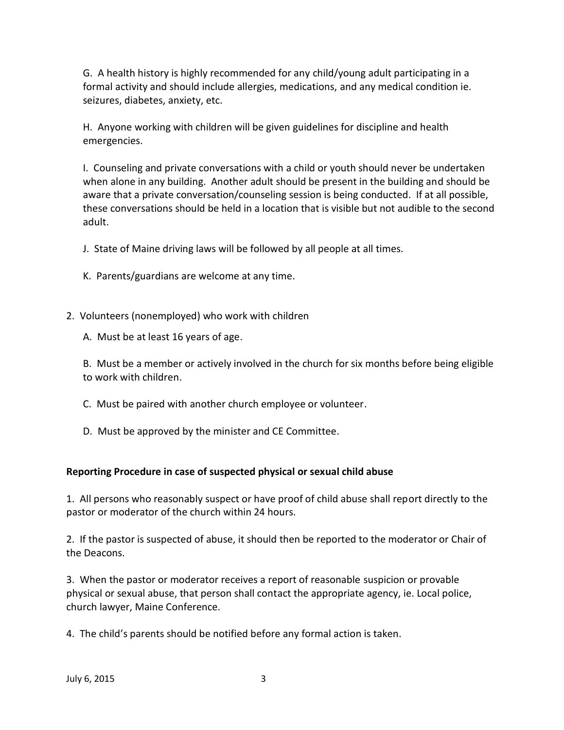G. A health history is highly recommended for any child/young adult participating in a formal activity and should include allergies, medications, and any medical condition ie. seizures, diabetes, anxiety, etc.

H. Anyone working with children will be given guidelines for discipline and health emergencies.

I. Counseling and private conversations with a child or youth should never be undertaken when alone in any building. Another adult should be present in the building and should be aware that a private conversation/counseling session is being conducted. If at all possible, these conversations should be held in a location that is visible but not audible to the second adult.

J. State of Maine driving laws will be followed by all people at all times.

- K. Parents/guardians are welcome at any time.
- 2. Volunteers (nonemployed) who work with children
	- A. Must be at least 16 years of age.

B. Must be a member or actively involved in the church for six months before being eligible to work with children.

- C. Must be paired with another church employee or volunteer.
- D. Must be approved by the minister and CE Committee.

## **Reporting Procedure in case of suspected physical or sexual child abuse**

1. All persons who reasonably suspect or have proof of child abuse shall report directly to the pastor or moderator of the church within 24 hours.

2. If the pastor is suspected of abuse, it should then be reported to the moderator or Chair of the Deacons.

3. When the pastor or moderator receives a report of reasonable suspicion or provable physical or sexual abuse, that person shall contact the appropriate agency, ie. Local police, church lawyer, Maine Conference.

4. The child's parents should be notified before any formal action is taken.